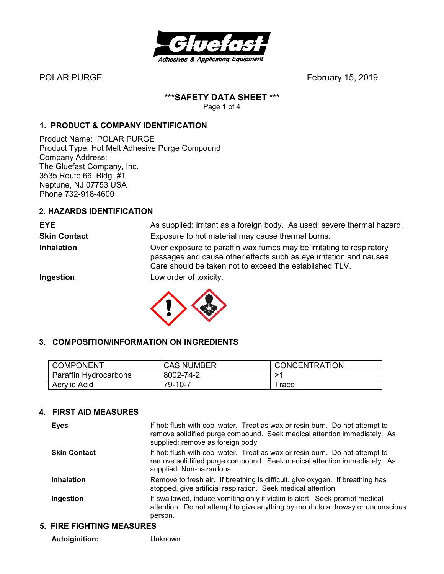

POLAR PURGE FEBRUARY 15, 2019

# **\*\*\*SAFETY DATA SHEET \*\*\***

Page 1 of 4

# **1. PRODUCT & COMPANY IDENTIFICATION**

Product Name: POLAR PURGE Product Type: Hot Melt Adhesive Purge Compound Company Address: The Gluefast Company, Inc. 3535 Route 66, Bldg. #1 Neptune, NJ 07753 USA Phone 732-918-4600

## **2. HAZARDS IDENTIFICATION**

**EYE** As supplied: irritant as a foreign body. As used: severe thermal hazard. **Skin Contact** Exposure to hot material may cause thermal burns. **Inhalation** Over exposure to paraffin wax fumes may be irritating to respiratory passages and cause other effects such as eye irritation and nausea. Care should be taken not to exceed the established TLV. **Ingestion** Low order of toxicity.



## **3. COMPOSITION/INFORMATION ON INGREDIENTS**

| <b>COMPONENT</b>      | <b>CAS NUMBER</b> | <b>CONCENTRATION</b> |
|-----------------------|-------------------|----------------------|
| Paraffin Hydrocarbons | 8002-74-2         |                      |
| <b>Acrylic Acid</b>   | 79-10-7           | race                 |

## **4. FIRST AID MEASURES**

| <b>Eyes</b>         | If hot: flush with cool water. Treat as wax or resin burn. Do not attempt to<br>remove solidified purge compound. Seek medical attention immediately. As<br>supplied: remove as foreign body. |
|---------------------|-----------------------------------------------------------------------------------------------------------------------------------------------------------------------------------------------|
| <b>Skin Contact</b> | If hot: flush with cool water. Treat as wax or resin burn. Do not attempt to<br>remove solidified purge compound. Seek medical attention immediately. As<br>supplied: Non-hazardous.          |
| <b>Inhalation</b>   | Remove to fresh air. If breathing is difficult, give oxygen. If breathing has<br>stopped, give artificial respiration. Seek medical attention.                                                |
| Ingestion           | If swallowed, induce vomiting only if victim is alert. Seek prompt medical<br>attention. Do not attempt to give anything by mouth to a drowsy or unconscious<br>person.                       |

## **5. FIRE FIGHTING MEASURES**

 **Autoiginition:** Unknown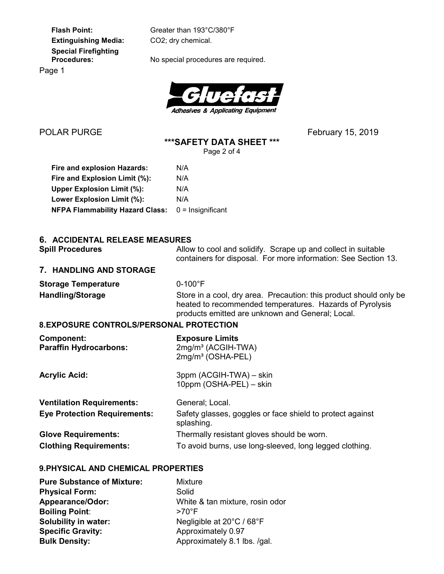**Extinguishing Media:** CO2; dry chemical.  **Special Firefighting** 

 **Flash Point:** Greater than 193°C/380°F

No special procedures are required.

Page 1



**\*\*\*SAFETY DATA SHEET \*\*\*** 

Page 2 of 4

 **Fire and explosion Hazards:** N/A Fire and Explosion Limit (%): N/A **Upper Explosion Limit (%):** N/A Lower Explosion Limit (%): N/A  **NFPA Flammability Hazard Class:** 0 = Insignificant

| 6. ACCIDENTAL RELEASE MEASURES |  |  |
|--------------------------------|--|--|

| <b>Spill Procedures</b>    | Allow to cool and solidify. Scrape up and collect in suitable<br>containers for disposal. For more information: See Section 13. |
|----------------------------|---------------------------------------------------------------------------------------------------------------------------------|
| 7. HANDLING AND STORAGE    |                                                                                                                                 |
| <b>Storage Temperature</b> | $0-100^{\circ}$ F                                                                                                               |

**Handling/Storage** Store in a cool, dry area. Precaution: this product should only be heated to recommended temperatures. Hazards of Pyrolysis products emitted are unknown and General; Local.

## **8. EXPOSURE CONTROLS/PERSONAL PROTECTION**

| <b>Component:</b><br><b>Paraffin Hydrocarbons:</b> | <b>Exposure Limits</b><br>2mg/m <sup>3</sup> (ACGIH-TWA)<br>2mg/m <sup>3</sup> (OSHA-PEL) |
|----------------------------------------------------|-------------------------------------------------------------------------------------------|
| <b>Acrylic Acid:</b>                               | 3ppm (ACGIH-TWA) - skin<br>10ppm (OSHA-PEL) - skin                                        |
| <b>Ventilation Requirements:</b>                   | General; Local.                                                                           |
| <b>Eye Protection Requirements:</b>                | Safety glasses, goggles or face shield to protect against<br>splashing.                   |
| <b>Glove Requirements:</b>                         | Thermally resistant gloves should be worn.                                                |
| <b>Clothing Requirements:</b>                      | To avoid burns, use long-sleeved, long legged clothing.                                   |

#### **9. PHYSICAL AND CHEMICAL PROPERTIES**

| <b>Pure Substance of Mixture:</b> | <b>Mixture</b>                  |
|-----------------------------------|---------------------------------|
| <b>Physical Form:</b>             | Solid                           |
| <b>Appearance/Odor:</b>           | White & tan mixture, rosin odor |
| <b>Boiling Point:</b>             | $>70^{\circ}$ F                 |
| <b>Solubility in water:</b>       | Negligible at 20°C / 68°F       |
| <b>Specific Gravity:</b>          | Approximately 0.97              |
| <b>Bulk Density:</b>              | Approximately 8.1 lbs. /gal.    |

POLAR PURGE FEBRUARY 15, 2019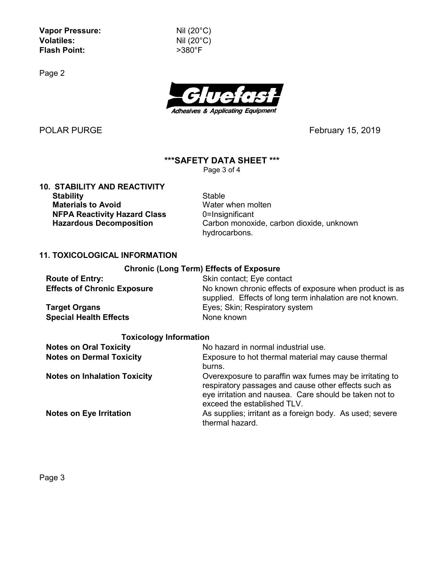**Vapor Pressure:** Nil (20°C) **Volatiles:** Nil (20°C) **Flash Point:** >380°F

Page 2



POLAR PURGE February 15, 2019

## **\*\*\*SAFETY DATA SHEET \*\*\***

Page 3 of 4

**10. STABILITY AND REACTIVITY Stability** Stable **Materials to Avoid Water when molten NFPA Reactivity Hazard Class** 0=Insignificant<br> **Hazardous Decomposition** Carbon monoxi

Carbon monoxide, carbon dioxide, unknown hydrocarbons.

#### **11. TOXICOLOGICAL INFORMATION**

#### **Chronic (Long Term) Effects of Exposure**

| <b>Route of Entry:</b>             | Skin contact; Eye contact                                                                                           |
|------------------------------------|---------------------------------------------------------------------------------------------------------------------|
| <b>Effects of Chronic Exposure</b> | No known chronic effects of exposure when product is as<br>supplied. Effects of long term inhalation are not known. |
| <b>Target Organs</b>               | Eyes; Skin; Respiratory system                                                                                      |
| <b>Special Health Effects</b>      | None known                                                                                                          |

#### **Toxicology Information**

| <b>Notes on Oral Toxicity</b>       | No hazard in normal industrial use.                                                                                                                                                                      |  |
|-------------------------------------|----------------------------------------------------------------------------------------------------------------------------------------------------------------------------------------------------------|--|
| <b>Notes on Dermal Toxicity</b>     | Exposure to hot thermal material may cause thermal<br>burns.                                                                                                                                             |  |
| <b>Notes on Inhalation Toxicity</b> | Overexposure to paraffin wax fumes may be irritating to<br>respiratory passages and cause other effects such as<br>eye irritation and nausea. Care should be taken not to<br>exceed the established TLV. |  |
| <b>Notes on Eye Irritation</b>      | As supplies; irritant as a foreign body. As used; severe<br>thermal hazard.                                                                                                                              |  |

Page 3